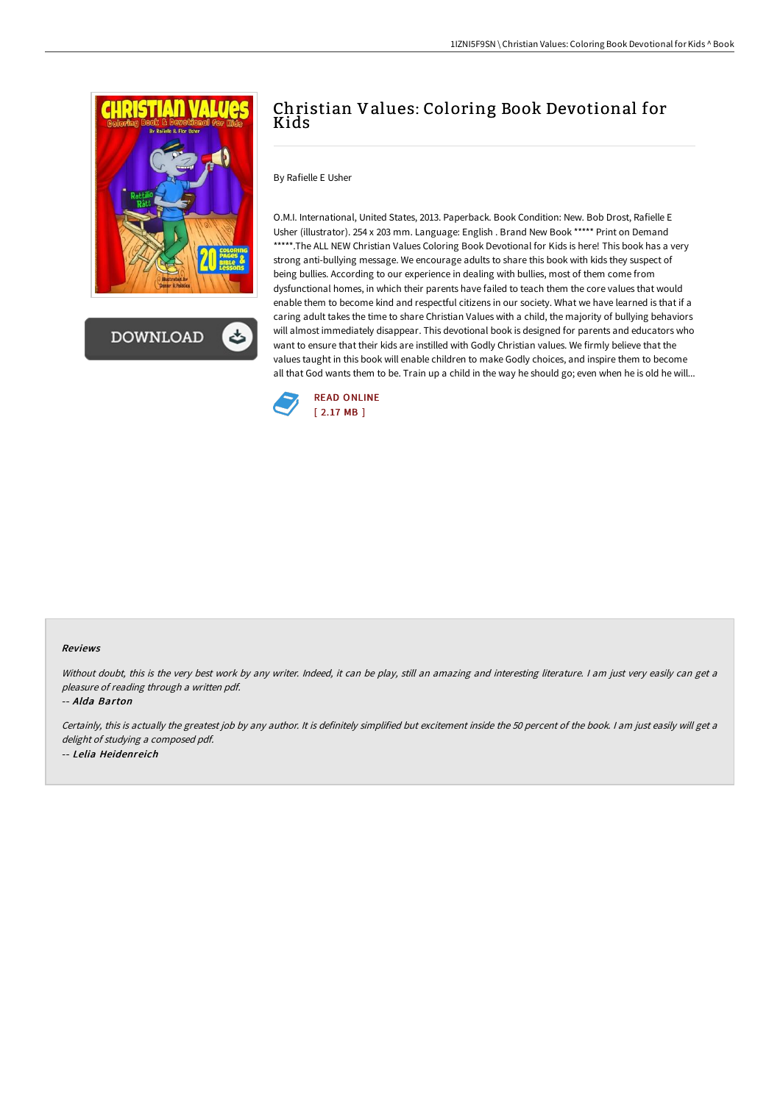

**DOWNLOAD** 

## Christian Values: Coloring Book Devotional for Kids

By Rafielle E Usher

O.M.I. International, United States, 2013. Paperback. Book Condition: New. Bob Drost, Rafielle E Usher (illustrator). 254 x 203 mm. Language: English . Brand New Book \*\*\*\*\* Print on Demand \*\*\*\*\*.The ALL NEW Christian Values Coloring Book Devotional for Kids is here! This book has a very strong anti-bullying message. We encourage adults to share this book with kids they suspect of being bullies. According to our experience in dealing with bullies, most of them come from dysfunctional homes, in which their parents have failed to teach them the core values that would enable them to become kind and respectful citizens in our society. What we have learned is that if a caring adult takes the time to share Christian Values with a child, the majority of bullying behaviors will almost immediately disappear. This devotional book is designed for parents and educators who want to ensure that their kids are instilled with Godly Christian values. We firmly believe that the values taught in this book will enable children to make Godly choices, and inspire them to become all that God wants them to be. Train up a child in the way he should go; even when he is old he will...



## Reviews

Without doubt, this is the very best work by any writer. Indeed, it can be play, still an amazing and interesting literature. I am just very easily can get a pleasure of reading through <sup>a</sup> written pdf.

-- Alda Barton

Certainly, this is actually the greatest job by any author. It is definitely simplified but excitement inside the 50 percent of the book. I am just easily will get a delight of studying <sup>a</sup> composed pdf. -- Lelia Heidenreich